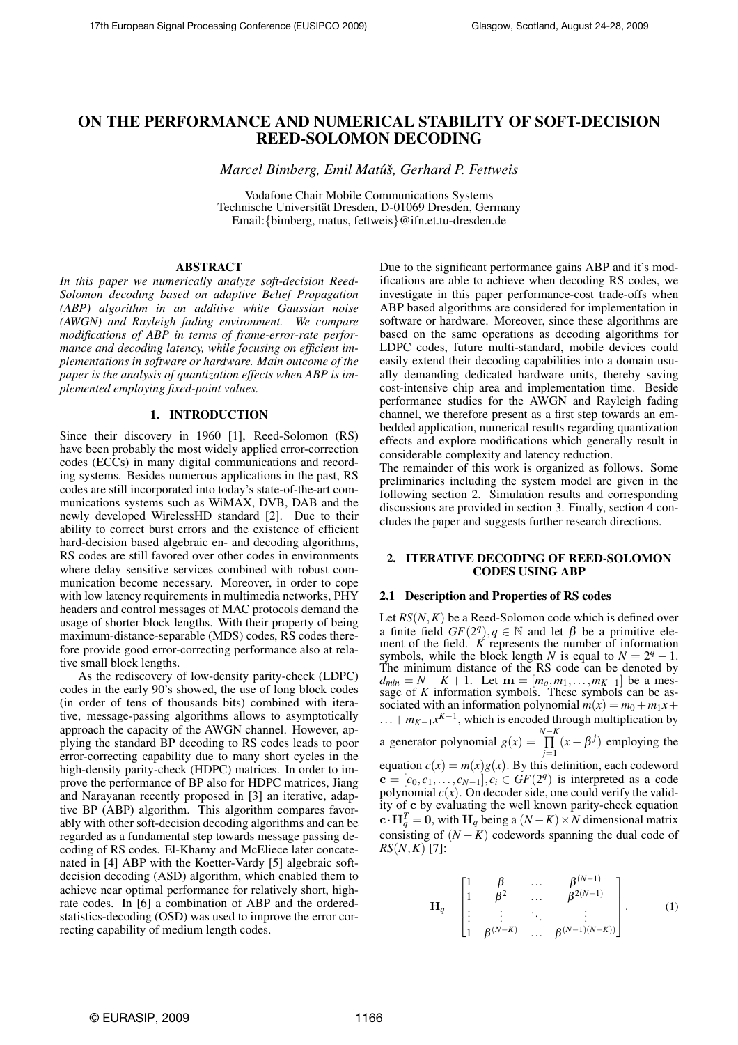# ON THE PERFORMANCE AND NUMERICAL STABILITY OF SOFT-DECISION REED-SOLOMON DECODING

*Marcel Bimberg, Emil Matu*´*s, Gerhard P. Fettweis* ˇ

Vodafone Chair Mobile Communications Systems Technische Universität Dresden, D-01069 Dresden, Germany Email:{bimberg, matus, fettweis}@ifn.et.tu-dresden.de

### ABSTRACT

*In this paper we numerically analyze soft-decision Reed-Solomon decoding based on adaptive Belief Propagation (ABP) algorithm in an additive white Gaussian noise (AWGN) and Rayleigh fading environment. We compare modifications of ABP in terms of frame-error-rate performance and decoding latency, while focusing on efficient implementations in software or hardware. Main outcome of the paper is the analysis of quantization effects when ABP is implemented employing fixed-point values.*

## 1. INTRODUCTION

Since their discovery in 1960 [1], Reed-Solomon (RS) have been probably the most widely applied error-correction codes (ECCs) in many digital communications and recording systems. Besides numerous applications in the past, RS codes are still incorporated into today's state-of-the-art communications systems such as WiMAX, DVB, DAB and the newly developed WirelessHD standard [2]. Due to their ability to correct burst errors and the existence of efficient hard-decision based algebraic en- and decoding algorithms, RS codes are still favored over other codes in environments where delay sensitive services combined with robust communication become necessary. Moreover, in order to cope with low latency requirements in multimedia networks, PHY headers and control messages of MAC protocols demand the usage of shorter block lengths. With their property of being maximum-distance-separable (MDS) codes, RS codes therefore provide good error-correcting performance also at relative small block lengths.

As the rediscovery of low-density parity-check (LDPC) codes in the early 90's showed, the use of long block codes (in order of tens of thousands bits) combined with iterative, message-passing algorithms allows to asymptotically approach the capacity of the AWGN channel. However, applying the standard BP decoding to RS codes leads to poor error-correcting capability due to many short cycles in the high-density parity-check (HDPC) matrices. In order to improve the performance of BP also for HDPC matrices, Jiang and Narayanan recently proposed in [3] an iterative, adaptive BP (ABP) algorithm. This algorithm compares favorably with other soft-decision decoding algorithms and can be regarded as a fundamental step towards message passing decoding of RS codes. El-Khamy and McEliece later concatenated in [4] ABP with the Koetter-Vardy [5] algebraic softdecision decoding (ASD) algorithm, which enabled them to achieve near optimal performance for relatively short, highrate codes. In [6] a combination of ABP and the orderedstatistics-decoding (OSD) was used to improve the error correcting capability of medium length codes.

Due to the significant performance gains ABP and it's modifications are able to achieve when decoding RS codes, we investigate in this paper performance-cost trade-offs when ABP based algorithms are considered for implementation in software or hardware. Moreover, since these algorithms are based on the same operations as decoding algorithms for LDPC codes, future multi-standard, mobile devices could easily extend their decoding capabilities into a domain usually demanding dedicated hardware units, thereby saving cost-intensive chip area and implementation time. Beside performance studies for the AWGN and Rayleigh fading channel, we therefore present as a first step towards an embedded application, numerical results regarding quantization effects and explore modifications which generally result in considerable complexity and latency reduction.

The remainder of this work is organized as follows. Some preliminaries including the system model are given in the following section 2. Simulation results and corresponding discussions are provided in section 3. Finally, section 4 concludes the paper and suggests further research directions.

### 2. ITERATIVE DECODING OF REED-SOLOMON CODES USING ABP

### 2.1 Description and Properties of RS codes

Let *RS*(*N*,*K*) be a Reed-Solomon code which is defined over a finite field  $GF(2<sup>q</sup>)$ ,  $q \in \mathbb{N}$  and let  $\beta$  be a primitive element of the field. *K* represents the number of information symbols, while the block length *N* is equal to  $N = 2^q - 1$ . The minimum distance of the RS code can be denoted by  $d_{min} = N - K + 1$ . Let  $\mathbf{m} = [m_0, m_1, \dots, m_{K-1}]$  be a message of  $K$  information symbols. These symbols can be associated with an information polynomial  $m(x) = m_0 + m_1x +$  $...+m_{K-1}x^{K-1}$ , which is encoded through multiplication by a generator polynomial  $g(x) = \prod_{j=1}^{N-K} (x - \beta^j)$  employing the equation  $c(x) = m(x)g(x)$ . By this definition, each codeword  $\mathbf{c} = [c_0, c_1, \ldots, c_{N-1}], c_i \in GF(2^q)$  is interpreted as a code polynomial  $c(x)$ . On decoder side, one could verify the validity of c by evaluating the well known parity-check equation  $\mathbf{c} \cdot \mathbf{H}_q^T = \mathbf{0}$ , with  $\mathbf{H}_q$  being a  $(N - K) \times N$  dimensional matrix consisting of  $(N - K)$  codewords spanning the dual code of *RS*(*N*,*K*) [7]:

$$
\mathbf{H}_{q} = \begin{bmatrix} 1 & \beta & \cdots & \beta^{(N-1)} \\ 1 & \beta^{2} & \cdots & \beta^{2(N-1)} \\ \vdots & \vdots & \ddots & \vdots \\ 1 & \beta^{(N-K)} & \cdots & \beta^{(N-1)(N-K)} \end{bmatrix} .
$$
 (1)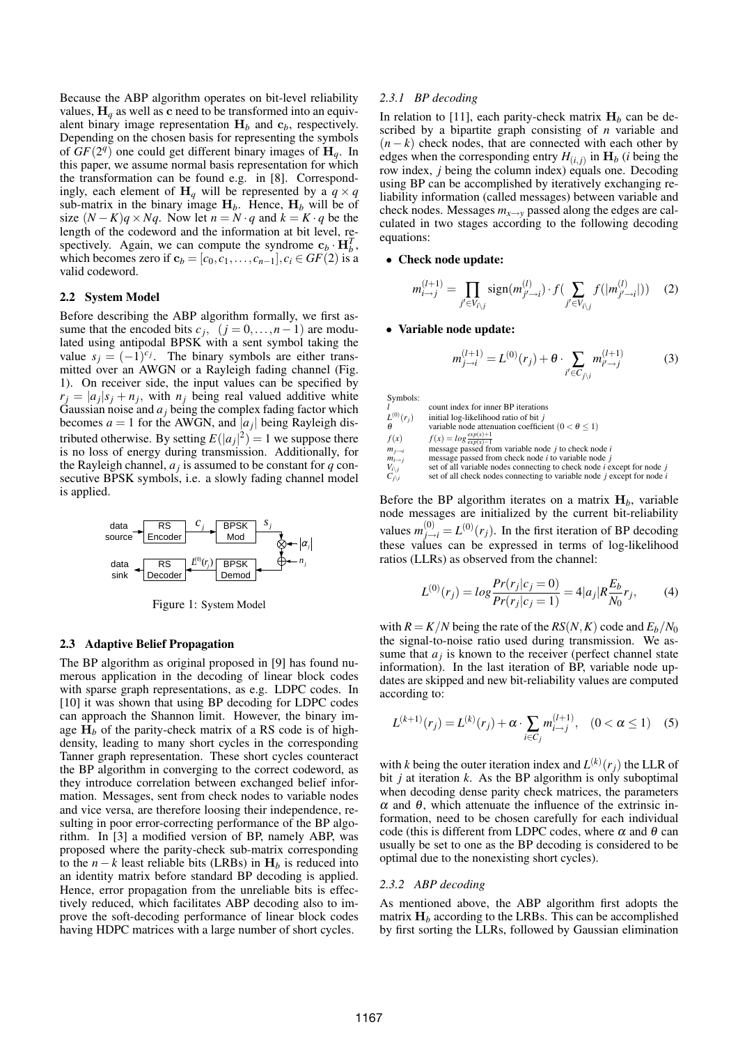Because the ABP algorithm operates on bit-level reliability values,  $H_q$  as well as c need to be transformed into an equivalent binary image representation  $H_b$  and  $c_b$ , respectively. Depending on the chosen basis for representing the symbols of  $GF(2<sup>q</sup>)$  one could get different binary images of  $H_q$ . In this paper, we assume normal basis representation for which the transformation can be found e.g. in [8]. Correspondingly, each element of  $H_q$  will be represented by a  $q \times q$ sub-matrix in the binary image  $H_b$ . Hence,  $H_b$  will be of size  $(N - K)q \times Nq$ . Now let  $n = N \cdot q$  and  $k = K \cdot q$  be the length of the codeword and the information at bit level, respectively. Again, we can compute the syndrome  $c_b \cdot H_b^T$ , which becomes zero if  $c_b = [c_0, c_1, \ldots, c_{n-1}], c_i \in GF(2)$  is a valid codeword.

### 2.2 System Model

Before describing the ABP algorithm formally, we first assume that the encoded bits  $c_j$ ,  $(j = 0, ..., n-1)$  are modulated using antipodal BPSK with a sent symbol taking the value  $s_j = (-1)^{c_j}$ . The binary symbols are either transmitted over an AWGN or a Rayleigh fading channel (Fig. 1). On receiver side, the input values can be specified by  $r_j = |a_j|s_j + n_j$ , with  $n_j$  being real valued additive white Gaussian noise and *a<sup>j</sup>* being the complex fading factor which becomes  $a = 1$  for the AWGN, and  $|a_j|$  being Rayleigh distributed otherwise. By setting  $E(|a_j|^2) = 1$  we suppose there is no loss of energy during transmission. Additionally, for the Rayleigh channel,  $a_j$  is assumed to be constant for  $q$  consecutive BPSK symbols, i.e. a slowly fading channel model is applied.



Figure 1: System Model

### 2.3 Adaptive Belief Propagation

The BP algorithm as original proposed in [9] has found numerous application in the decoding of linear block codes with sparse graph representations, as e.g. LDPC codes. In [10] it was shown that using BP decoding for LDPC codes can approach the Shannon limit. However, the binary image  $H_b$  of the parity-check matrix of a RS code is of highdensity, leading to many short cycles in the corresponding Tanner graph representation. These short cycles counteract the BP algorithm in converging to the correct codeword, as they introduce correlation between exchanged belief information. Messages, sent from check nodes to variable nodes and vice versa, are therefore loosing their independence, resulting in poor error-correcting performance of the BP algorithm. In [3] a modified version of BP, namely ABP, was proposed where the parity-check sub-matrix corresponding to the  $n - k$  least reliable bits (LRBs) in  $H_b$  is reduced into an identity matrix before standard BP decoding is applied. Hence, error propagation from the unreliable bits is effectively reduced, which facilitates ABP decoding also to improve the soft-decoding performance of linear block codes having HDPC matrices with a large number of short cycles.

#### *2.3.1 BP decoding*

In relation to [11], each parity-check matrix  $H_b$  can be described by a bipartite graph consisting of *n* variable and  $(n - k)$  check nodes, that are connected with each other by edges when the corresponding entry  $H_{(i,j)}$  in  $\mathbf{H}_b$  (*i* being the row index, *j* being the column index) equals one. Decoding using BP can be accomplished by iteratively exchanging reliability information (called messages) between variable and check nodes. Messages  $m_{x\to y}$  passed along the edges are calculated in two stages according to the following decoding equations:

• Check node update:

$$
m_{i \to j}^{(l+1)} = \prod_{j' \in V_{i \setminus j}} sign(m_{j' \to i}^{(l)}) \cdot f(\sum_{j' \in V_{i \setminus j}} f(|m_{j' \to i}^{(l)}|)) \quad (2)
$$

#### • Variable node update:

$$
m_{j \to i}^{(l+1)} = L^{(0)}(r_j) + \theta \cdot \sum_{i' \in C_{j \setminus i}} m_{i' \to j}^{(l+1)} \tag{3}
$$

Symbols:

*l* count index for inner BP iterations *L* (0) (*rj*) initial log-likelihood ratio of bit *j* θ variable node attenuation coefficient (0 < θ ≤ 1)<br>  $f(x)$   $f(x) = log \frac{exp(x)+1}{exp(x)-1}$ <br>
m<sub>j→i</sub> message passed from variable node *j* to check node *i m*<sub>*j*→*i*</sub> message passed from variable node *j* to check node *i* message passed from check node *i* to variable node *j* set of all variable nodes connecting to check node *i* e:<br> $C_{j\setminus i}$  set of all check nodes conn  $\frac{1}{2}$  set of all variable nodes connecting to check node *i* except for node *j*  $c$  set of all check nodes connecting to variable node *j* except for node *i* 

Before the BP algorithm iterates on a matrix  $H_b$ , variable node messages are initialized by the current bit-reliability values  $m_{j \to i}^{(0)} = L^{(0)}(r_j)$ . In the first iteration of BP decoding these values can be expressed in terms of log-likelihood ratios (LLRs) as observed from the channel:

$$
L^{(0)}(r_j) = \log \frac{Pr(r_j|c_j = 0)}{Pr(r_j|c_j = 1)} = 4|a_j|R \frac{E_b}{N_0}r_j,
$$
 (4)

with  $R = K/N$  being the rate of the  $RS(N, K)$  code and  $E_b/N_0$ the signal-to-noise ratio used during transmission. We assume that  $a_j$  is known to the receiver (perfect channel state information). In the last iteration of BP, variable node updates are skipped and new bit-reliability values are computed according to:

$$
L^{(k+1)}(r_j) = L^{(k)}(r_j) + \alpha \cdot \sum_{i \in C_j} m_{i \to j}^{(l+1)}, \quad (0 < \alpha \le 1) \quad (5)
$$

with *k* being the outer iteration index and  $L^{(k)}(r_j)$  the LLR of bit *j* at iteration *k*. As the BP algorithm is only suboptimal when decoding dense parity check matrices, the parameters <sup>α</sup> and <sup>θ</sup>, which attenuate the influence of the extrinsic information, need to be chosen carefully for each individual code (this is different from LDPC codes, where  $\alpha$  and  $\theta$  can usually be set to one as the BP decoding is considered to be optimal due to the nonexisting short cycles).

## *2.3.2 ABP decoding*

As mentioned above, the ABP algorithm first adopts the matrix  $H_b$  according to the LRBs. This can be accomplished by first sorting the LLRs, followed by Gaussian elimination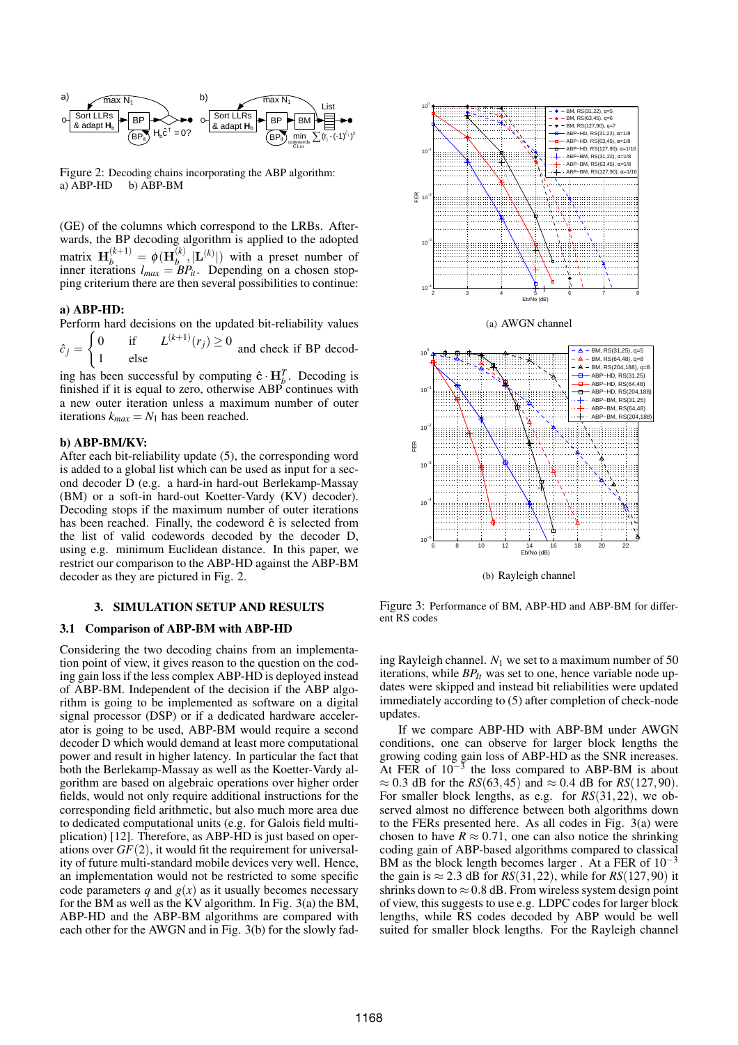

Figure 2: Decoding chains incorporating the ABP algorithm: a)  $\overline{ABP-HD}$  b)  $\overline{ABP-BM}$ 

(GE) of the columns which correspond to the LRBs. Afterwards, the BP decoding algorithm is applied to the adopted matrix  $\mathbf{H}_{b}^{(k+1)} = \phi(\mathbf{H}_{b}^{(k)})$  $\mathbf{L}^{(k)}$ ,  $|\mathbf{L}^{(k)}|$  with a preset number of inner iterations  $l_{max} = BP_{it}$ . Depending on a chosen stopping criterium there are then several possibilities to continue:

## a) ABP-HD:

Perform hard decisions on the updated bit-reliability values

 $\hat{c}$ <sub>i</sub> = 0 if  $L^{(k+1)}(r_j) \ge 0$  and check if BP decodelse

ing has been successful by computing  $\hat{\mathbf{c}} \cdot \mathbf{H}_{b}^{T}$ . Decoding is finished if it is equal to zero, otherwise ABP continues with a new outer iteration unless a maximum number of outer iterations  $k_{max} = N_1$  has been reached.

## b) ABP-BM/KV:

After each bit-reliability update (5), the corresponding word is added to a global list which can be used as input for a second decoder D (e.g. a hard-in hard-out Berlekamp-Massay (BM) or a soft-in hard-out Koetter-Vardy (KV) decoder). Decoding stops if the maximum number of outer iterations has been reached. Finally, the codeword  $\hat{c}$  is selected from the list of valid codewords decoded by the decoder D, using e.g. minimum Euclidean distance. In this paper, we restrict our comparison to the ABP-HD against the ABP-BM decoder as they are pictured in Fig. 2.

### 3. SIMULATION SETUP AND RESULTS

### 3.1 Comparison of ABP-BM with ABP-HD

Considering the two decoding chains from an implementation point of view, it gives reason to the question on the coding gain loss if the less complex ABP-HD is deployed instead of ABP-BM. Independent of the decision if the ABP algorithm is going to be implemented as software on a digital signal processor (DSP) or if a dedicated hardware accelerator is going to be used, ABP-BM would require a second decoder D which would demand at least more computational power and result in higher latency. In particular the fact that both the Berlekamp-Massay as well as the Koetter-Vardy algorithm are based on algebraic operations over higher order fields, would not only require additional instructions for the corresponding field arithmetic, but also much more area due to dedicated computational units (e.g. for Galois field multiplication) [12]. Therefore, as ABP-HD is just based on operations over  $GF(2)$ , it would fit the requirement for universality of future multi-standard mobile devices very well. Hence, an implementation would not be restricted to some specific code parameters  $q$  and  $g(x)$  as it usually becomes necessary for the BM as well as the KV algorithm. In Fig. 3(a) the BM, ABP-HD and the ABP-BM algorithms are compared with each other for the AWGN and in Fig. 3(b) for the slowly fad-



(a) AWGN channel



(b) Rayleigh channel

Figure 3: Performance of BM, ABP-HD and ABP-BM for different RS codes

ing Rayleigh channel.  $N_1$  we set to a maximum number of 50 iterations, while *BPIt* was set to one, hence variable node updates were skipped and instead bit reliabilities were updated immediately according to (5) after completion of check-node updates.

If we compare ABP-HD with ABP-BM under AWGN conditions, one can observe for larger block lengths the growing coding gain loss of ABP-HD as the SNR increases. At FER of  $10^{-3}$  the loss compared to ABP-BM is about  $\approx 0.3$  dB for the *RS*(63,45) and  $\approx 0.4$  dB for *RS*(127,90). For smaller block lengths, as e.g. for *RS*(31,22), we observed almost no difference between both algorithms down to the FERs presented here. As all codes in Fig. 3(a) were chosen to have  $R \approx 0.71$ , one can also notice the shrinking coding gain of ABP-based algorithms compared to classical BM as the block length becomes larger. At a FER of  $10^{-3}$ the gain is  $\approx 2.3$  dB for *RS*(31, 22), while for *RS*(127, 90) it shrinks down to  $\approx 0.8$  dB. From wireless system design point of view, this suggests to use e.g. LDPC codes for larger block lengths, while RS codes decoded by ABP would be well suited for smaller block lengths. For the Rayleigh channel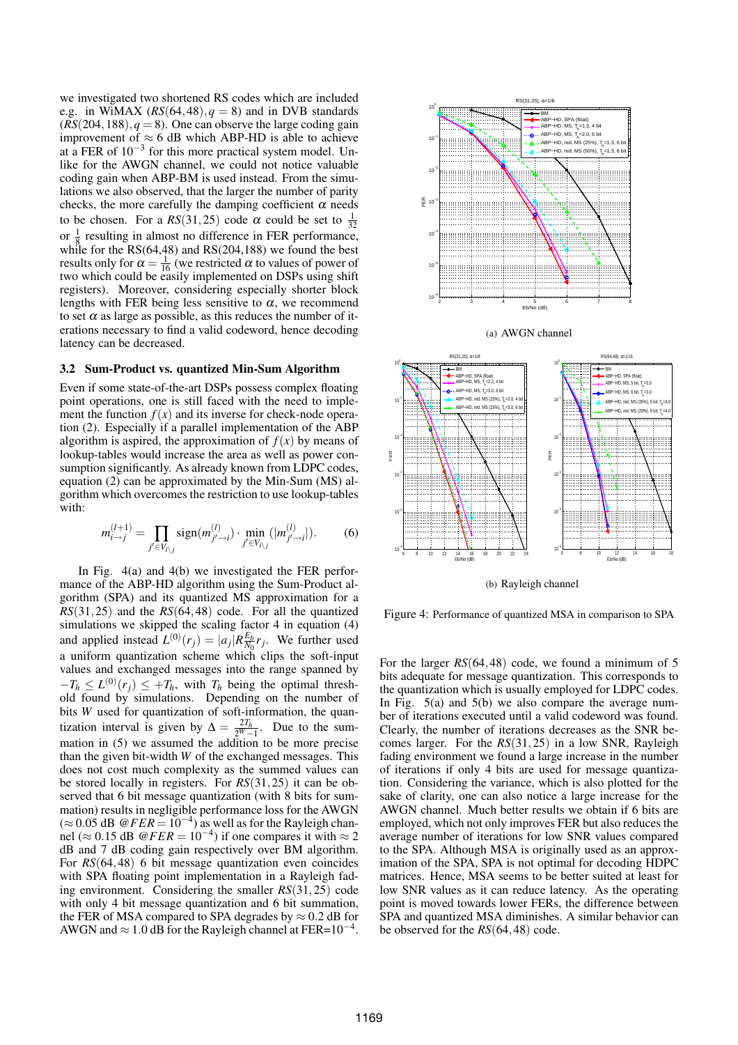we investigated two shortened RS codes which are included e.g. in WiMAX  $(RS(64, 48), q = 8)$  and in DVB standards  $(RS(204, 188), q = 8)$ . One can observe the large coding gain improvement of  $\approx$  6 dB which ABP-HD is able to achieve at a FER of  $10^{-3}$  for this more practical system model. Unlike for the AWGN channel, we could not notice valuable coding gain when ABP-BM is used instead. From the simulations we also observed, that the larger the number of parity checks, the more carefully the damping coefficient  $\alpha$  needs to be chosen. For a  $RS(31,25)$  code  $\alpha$  could be set to  $\frac{1}{32}$ or  $\frac{1}{8}$  resulting in almost no difference in FER performance, while for the RS(64,48) and RS(204,188) we found the best results only for  $\alpha = \frac{1}{16}$  (we restricted  $\alpha$  to values of power of two which could be easily implemented on DSPs using shift registers). Moreover, considering especially shorter block lengths with FER being less sensitive to  $\alpha$ , we recommend to set  $\alpha$  as large as possible, as this reduces the number of iterations necessary to find a valid codeword, hence decoding latency can be decreased.

#### 3.2 Sum-Product vs. quantized Min-Sum Algorithm

Even if some state-of-the-art DSPs possess complex floating point operations, one is still faced with the need to implement the function  $f(x)$  and its inverse for check-node operation (2). Especially if a parallel implementation of the ABP algorithm is aspired, the approximation of  $f(x)$  by means of lookup-tables would increase the area as well as power consumption significantly. As already known from LDPC codes, equation (2) can be approximated by the Min-Sum (MS) algorithm which overcomes the restriction to use lookup-tables with:

$$
m_{i \to j}^{(l+1)} = \prod_{j' \in V_{i \setminus j}} sign(m_{j' \to i}^{(l)}) \cdot \min_{j' \in V_{i \setminus j}} (|m_{j' \to i}^{(l)}|). \tag{6}
$$

In Fig. 4(a) and 4(b) we investigated the FER performance of the ABP-HD algorithm using the Sum-Product algorithm (SPA) and its quantized MS approximation for a  $RS(31,25)$  and the  $RS(64,48)$  code. For all the quantized simulations we skipped the scaling factor 4 in equation (4) and applied instead  $L^{(0)}(r_j) = |a_j| R_{N_0}^{E_b}$  $\frac{E_b}{N_0} r_j$ . We further used a uniform quantization scheme which clips the soft-input values and exchanged messages into the range spanned by  $-T_h \leq L^{(0)}(r_j) \leq +T_h$ , with  $T_h$  being the optimal threshold found by simulations. Depending on the number of bits *W* used for quantization of soft-information, the quantization interval is given by  $\Delta = \frac{2T_h}{2^W - 1}$ . Due to the summation in (5) we assumed the addition to be more precise than the given bit-width *W* of the exchanged messages. This does not cost much complexity as the summed values can be stored locally in registers. For *RS*(31,25) it can be observed that 6 bit message quantization (with 8 bits for summation) results in negligible performance loss for the AWGN  $(\approx 0.05$  dB  $@FER = 10^{-4}$ ) as well as for the Rayleigh channel ( $\approx$  0.15 dB  $\omega$ *FER* = 10<sup>-4</sup>) if one compares it with  $\approx$  2 dB and 7 dB coding gain respectively over BM algorithm. For *RS*(64,48) 6 bit message quantization even coincides with SPA floating point implementation in a Rayleigh fading environment. Considering the smaller *RS*(31,25) code with only 4 bit message quantization and 6 bit summation, the FER of MSA compared to SPA degrades by  $\approx 0.2$  dB for AWGN and  $\approx 1.0$  dB for the Rayleigh channel at FER=10<sup>-4</sup>.







(b) Rayleigh channel

Figure 4: Performance of quantized MSA in comparison to SPA

For the larger *RS*(64,48) code, we found a minimum of 5 bits adequate for message quantization. This corresponds to the quantization which is usually employed for LDPC codes. In Fig.  $5(a)$  and  $5(b)$  we also compare the average number of iterations executed until a valid codeword was found. Clearly, the number of iterations decreases as the SNR becomes larger. For the *RS*(31,25) in a low SNR, Rayleigh fading environment we found a large increase in the number of iterations if only 4 bits are used for message quantization. Considering the variance, which is also plotted for the sake of clarity, one can also notice a large increase for the AWGN channel. Much better results we obtain if 6 bits are employed, which not only improves FER but also reduces the average number of iterations for low SNR values compared to the SPA. Although MSA is originally used as an approximation of the SPA, SPA is not optimal for decoding HDPC matrices. Hence, MSA seems to be better suited at least for low SNR values as it can reduce latency. As the operating point is moved towards lower FERs, the difference between SPA and quantized MSA diminishes. A similar behavior can be observed for the *RS*(64,48) code.